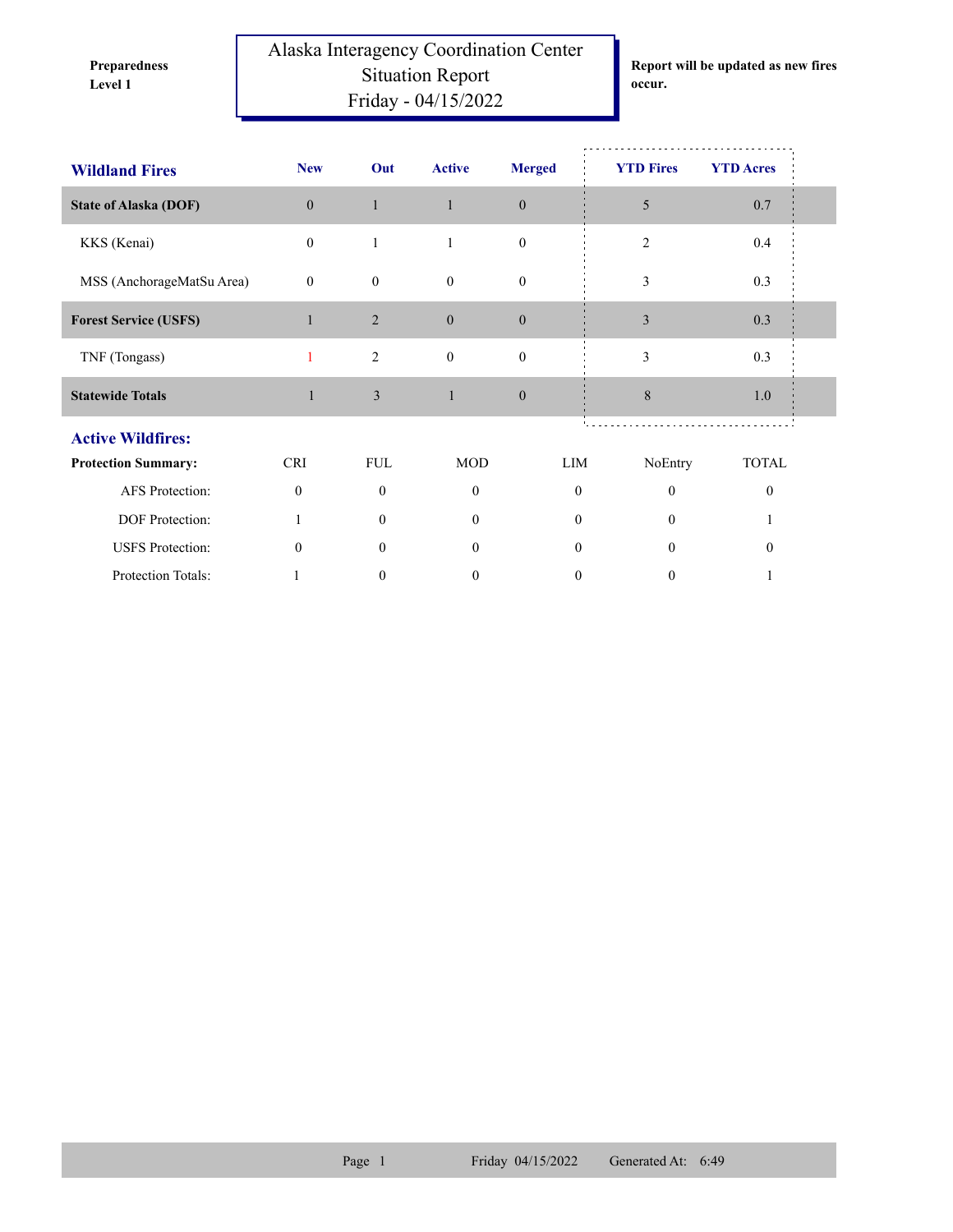**Preparedness** 

Alaska Interagency Coordination Center Situation Report **Level 1 occur.** Friday - 04/15/2022

**Report will be updated as new fires** 

| <b>Wildland Fires</b>        | <b>New</b>     | Out              | <b>Active</b>    | <b>Merged</b>    | <b>YTD Fires</b> | <b>YTD Acres</b> |  |
|------------------------------|----------------|------------------|------------------|------------------|------------------|------------------|--|
| <b>State of Alaska (DOF)</b> | $\overline{0}$ | $\mathbf{1}$     | $\mathbf{1}$     | $\mathbf{0}$     | 5                | $0.7\,$          |  |
| KKS (Kenai)                  | $\mathbf{0}$   | $\mathbf{1}$     | $\mathbf{1}$     | $\mathbf{0}$     | $\overline{2}$   | 0.4              |  |
| MSS (AnchorageMatSu Area)    | $\mathbf{0}$   | $\mathbf{0}$     | $\mathbf{0}$     | $\mathbf{0}$     | 3                | 0.3              |  |
| <b>Forest Service (USFS)</b> |                | $\overline{2}$   | $\theta$         | $\boldsymbol{0}$ | 3                | 0.3              |  |
| TNF (Tongass)                | 1              | $\overline{c}$   | $\boldsymbol{0}$ | $\boldsymbol{0}$ | 3                | 0.3              |  |
| <b>Statewide Totals</b>      | $\mathbf{1}$   | 3                | $\mathbf{1}$     | $\mathbf{0}$     | 8                | 1.0              |  |
| <b>Active Wildfires:</b>     |                |                  |                  |                  |                  |                  |  |
| <b>Protection Summary:</b>   | <b>CRI</b>     | <b>FUL</b>       | <b>MOD</b>       | LIM              | NoEntry          | <b>TOTAL</b>     |  |
| AFS Protection:              | $\theta$       | $\Omega$         | $\Omega$         | $\mathbf{0}$     | $\theta$         | $\theta$         |  |
| DOF Protection:              | 1              | $\overline{0}$   | $\mathbf{0}$     | $\overline{0}$   | $\Omega$         |                  |  |
| <b>USFS</b> Protection:      | $\Omega$       | $\theta$         | $\Omega$         | $\Omega$         | $\theta$         | $\Omega$         |  |
| Protection Totals:           |                | $\boldsymbol{0}$ | 0                | 0                | 0                |                  |  |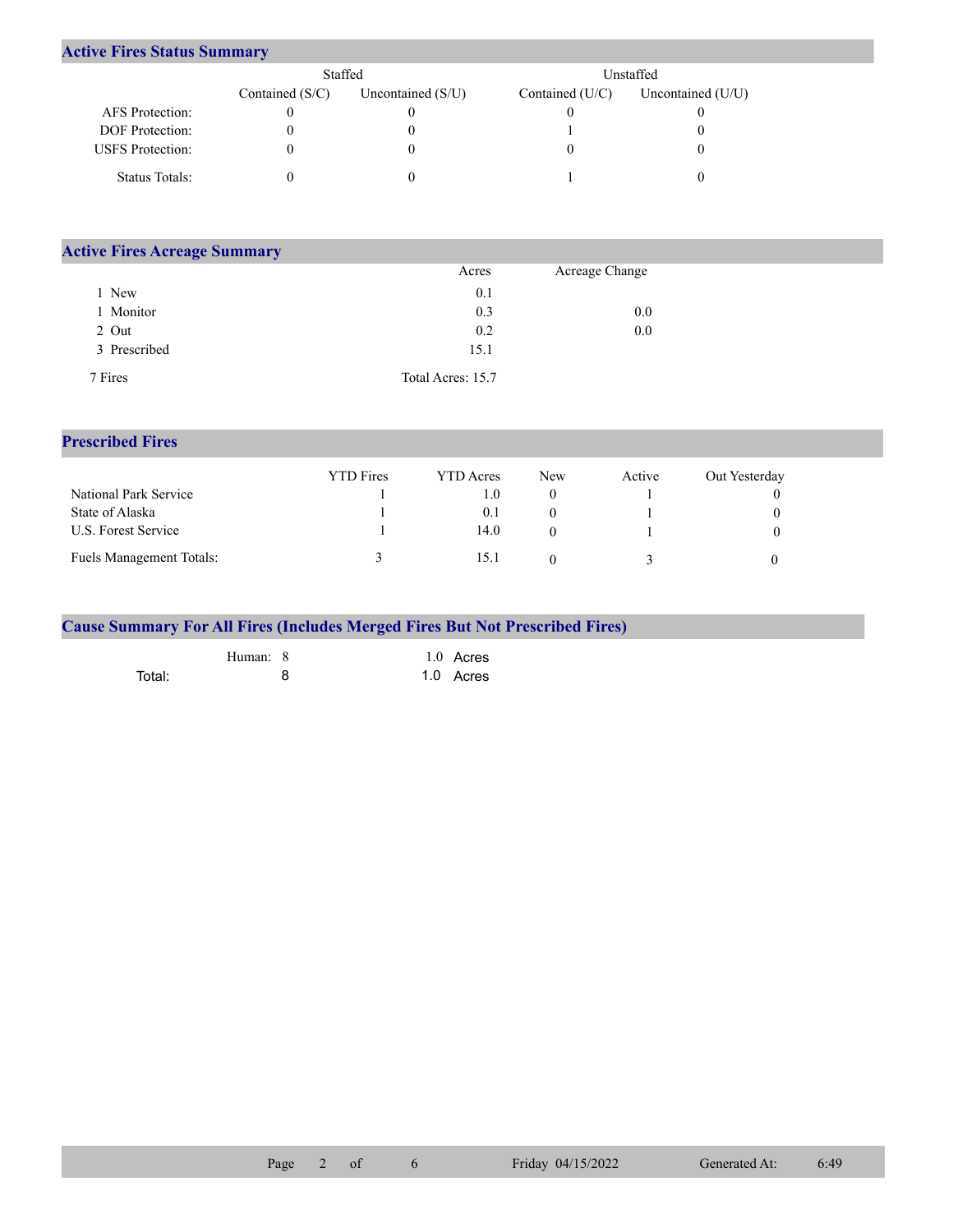## **Active Fires Status Summary**

|                         | Staffed           |                     | Unstaffed.        |                     |  |  |
|-------------------------|-------------------|---------------------|-------------------|---------------------|--|--|
|                         | Contained $(S/C)$ | Uncontained $(S/U)$ | Contained $(U/C)$ | Uncontained $(U/U)$ |  |  |
| AFS Protection:         |                   |                     |                   |                     |  |  |
| <b>DOF</b> Protection:  |                   |                     |                   |                     |  |  |
| <b>USFS</b> Protection: |                   |                     |                   |                     |  |  |
| Status Totals:          |                   |                     |                   |                     |  |  |

| <b>Active Fires Acreage Summary</b> |                   |                |  |  |  |  |  |  |  |
|-------------------------------------|-------------------|----------------|--|--|--|--|--|--|--|
|                                     | Acres             | Acreage Change |  |  |  |  |  |  |  |
| New                                 | 0.1               |                |  |  |  |  |  |  |  |
| Monitor                             | 0.3               | 0.0            |  |  |  |  |  |  |  |
| 2 Out                               | 0.2               | 0.0            |  |  |  |  |  |  |  |
| 3 Prescribed                        | 15.1              |                |  |  |  |  |  |  |  |
| 7 Fires                             | Total Acres: 15.7 |                |  |  |  |  |  |  |  |

## **Prescribed Fires**

|                                 | <b>YTD</b> Fires | <b>YTD</b> Acres | New | Active | Out Yesterday |
|---------------------------------|------------------|------------------|-----|--------|---------------|
| National Park Service           |                  | 1.0              |     |        | $\theta$      |
| State of Alaska                 |                  | 0.1              |     |        | $\theta$      |
| U.S. Forest Service             |                  | 14.0             |     |        | $_{0}$        |
| <b>Fuels Management Totals:</b> |                  | 15.1             |     |        |               |

|        |          | <b>Cause Summary For All Fires (Includes Merged Fires But Not Prescribed Fires)</b> |
|--------|----------|-------------------------------------------------------------------------------------|
|        | Human: 8 | 1.0 Acres                                                                           |
| Total: | я        | 1.0 Acres                                                                           |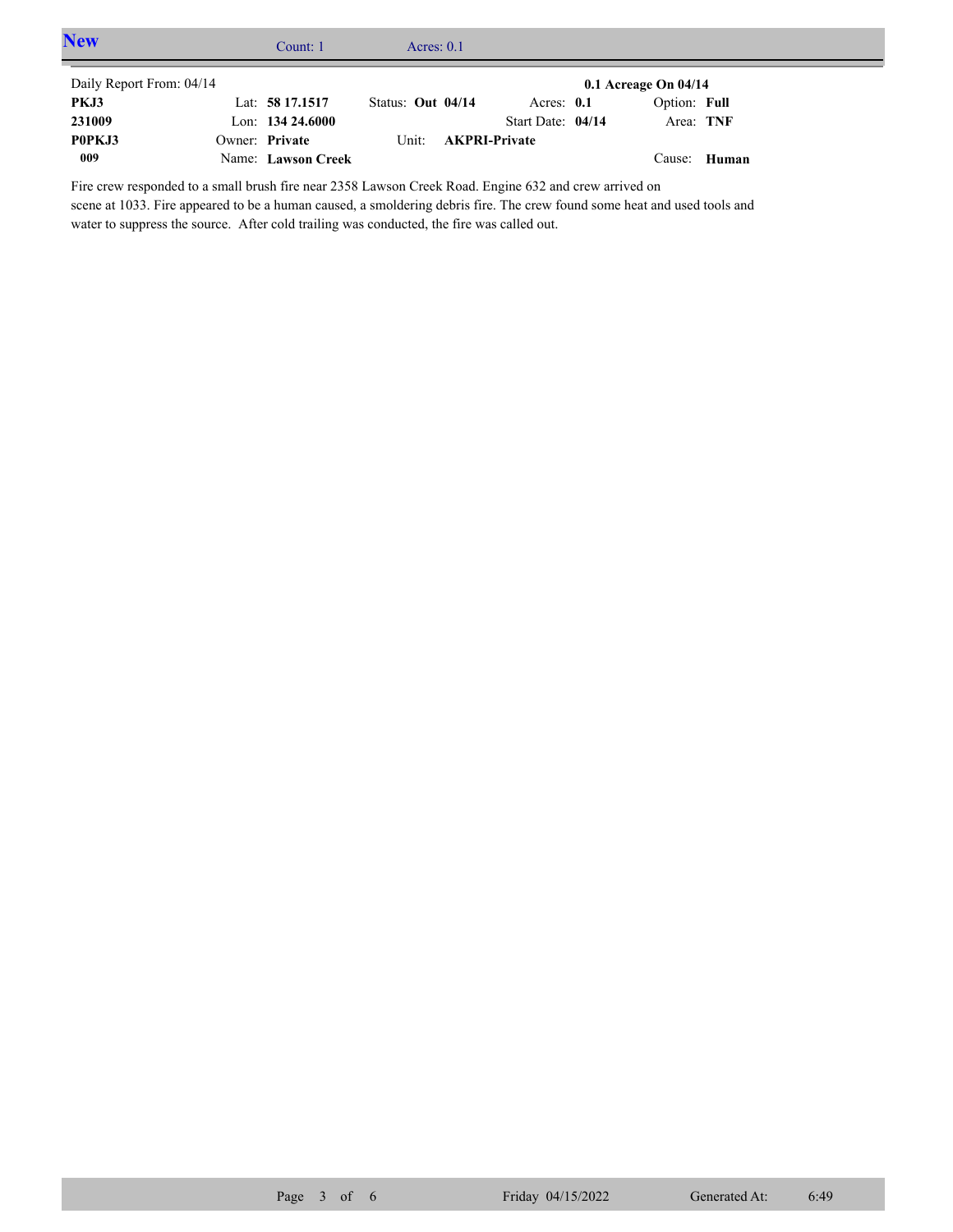| <b>New</b>               | Count: $1$          | Acres: $0.1$      |                            |                          |       |  |
|--------------------------|---------------------|-------------------|----------------------------|--------------------------|-------|--|
| Daily Report From: 04/14 |                     |                   |                            | $0.1$ Acreage On $04/14$ |       |  |
| PKJ3                     | Lat: 58 17.1517     | Status: Out 04/14 | Acres: $0.1$               | Option: Full             |       |  |
| 231009                   | Lon: $134\,24.6000$ |                   | Start Date: 04/14          | Area: TNF                |       |  |
| P0PKJ3                   | Owner: Private      |                   | Unit: <b>AKPRI-Private</b> |                          |       |  |
| 009                      | Name: Lawson Creek  |                   |                            | Cause:                   | Human |  |

Fire crew responded to a small brush fire near 2358 Lawson Creek Road. Engine 632 and crew arrived on scene at 1033. Fire appeared to be a human caused, a smoldering debris fire. The crew found some heat and used tools and water to suppress the source. After cold trailing was conducted, the fire was called out.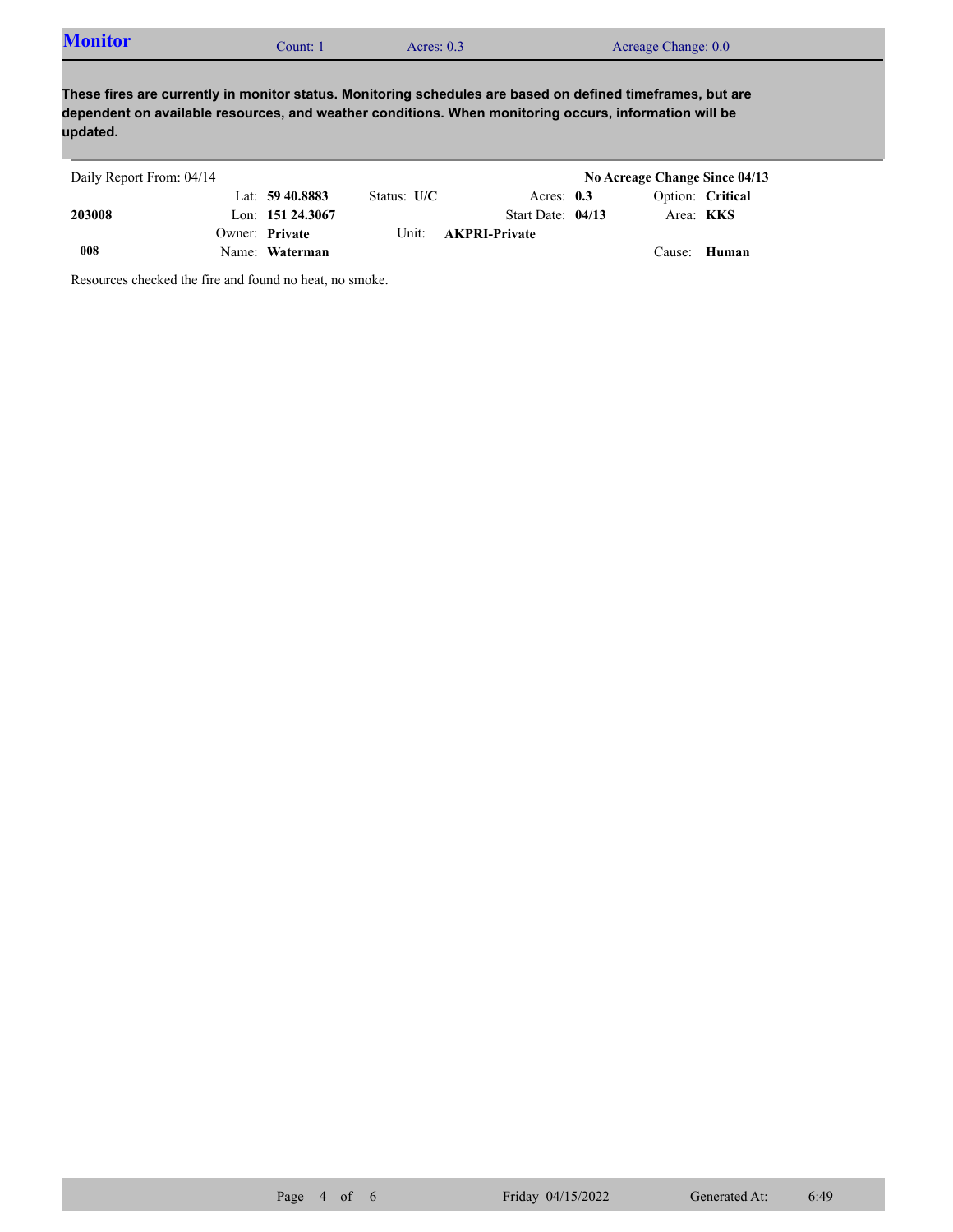| <b>Monitor</b><br>$\text{Count:}$ . | Acres: $0.3$ | Acreage Change: 0.0 |  |
|-------------------------------------|--------------|---------------------|--|
|                                     |              |                     |  |

**These fires are currently in monitor status. Monitoring schedules are based on defined timeframes, but are dependent on available resources, and weather conditions. When monitoring occurs, information will be updated.**

| Daily Report From: 04/14 |                     |               |                            | No Acreage Change Since 04/13 |  |
|--------------------------|---------------------|---------------|----------------------------|-------------------------------|--|
|                          | Lat: $59\,40.8883$  | Status: $U/C$ | Acres: $0.3$               | Option: Critical              |  |
| 203008                   | Lon: $151\,24.3067$ |               | Start Date: $04/13$        | Area: <b>KKS</b>              |  |
|                          | Owner: Private      |               | Unit: <b>AKPRI-Private</b> |                               |  |
| 008                      | Name: Waterman      |               |                            | Cause: Human                  |  |

Resources checked the fire and found no heat, no smoke.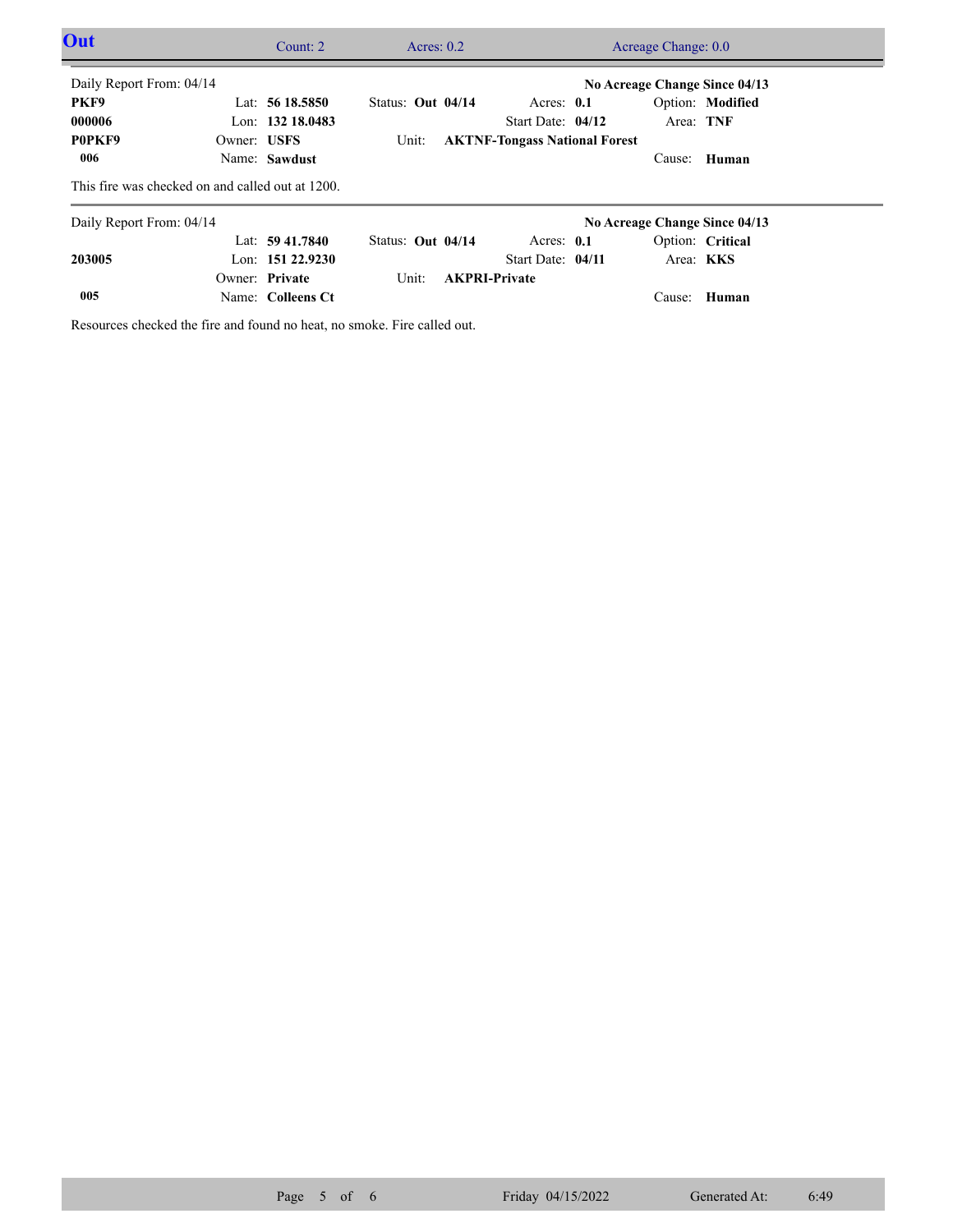| Out                                              |             | Count: $2 \overline{ }$ |                   | Acres: $0.2$ | Acreage Change: 0.0                  |  |                  |                               |  |
|--------------------------------------------------|-------------|-------------------------|-------------------|--------------|--------------------------------------|--|------------------|-------------------------------|--|
| Daily Report From: 04/14                         |             |                         |                   |              |                                      |  |                  | No Acreage Change Since 04/13 |  |
| PKF9                                             |             | Lat: $5618.5850$        | Status: Out 04/14 |              | Acres: $0.1$                         |  |                  | Option: Modified              |  |
| 000006                                           |             | Lon: 132 18,0483        |                   |              | Start Date: $04/12$                  |  | Area: TNF        |                               |  |
| P0PKF9                                           | Owner: USFS |                         | Unit:             |              | <b>AKTNF-Tongass National Forest</b> |  |                  |                               |  |
| 006                                              |             | Name: Sawdust           |                   |              |                                      |  | Cause:           | Human                         |  |
| This fire was checked on and called out at 1200. |             |                         |                   |              |                                      |  |                  |                               |  |
| Daily Report From: 04/14                         |             |                         |                   |              |                                      |  |                  | No Acreage Change Since 04/13 |  |
|                                                  |             | Lat: $59\,41.7840$      | Status: Out 04/14 |              | Acres: $0.1$                         |  |                  | Option: Critical              |  |
| 203005                                           |             | Lon: $15122.9230$       |                   |              | Start Date: 04/11                    |  | Area: <b>KKS</b> |                               |  |
|                                                  |             | Owner: Private          | Unit:             |              | <b>AKPRI-Private</b>                 |  |                  |                               |  |
| 005                                              |             | Name: Colleens Ct       |                   |              |                                      |  | Cause:           | Human                         |  |

Resources checked the fire and found no heat, no smoke. Fire called out.